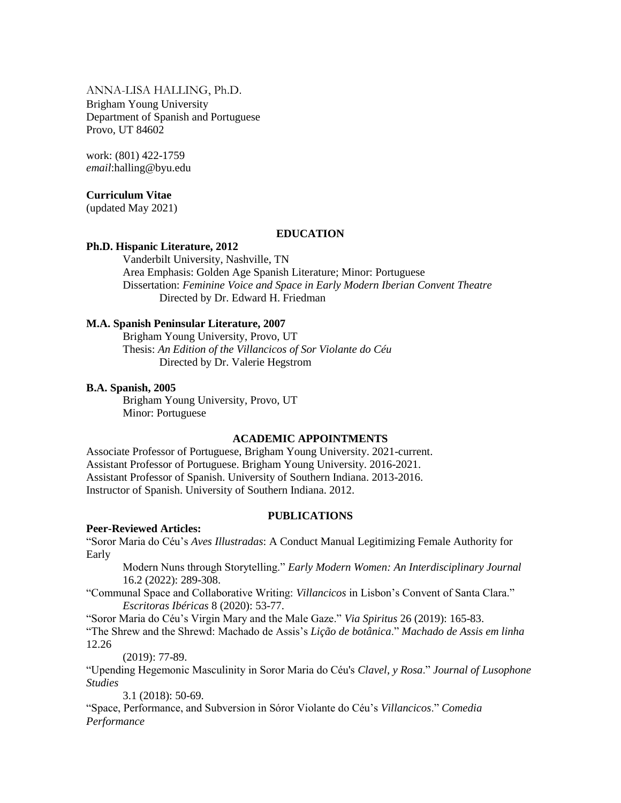ANNA-LISA HALLING, Ph.D. Brigham Young University Department of Spanish and Portuguese Provo, UT 84602

work: (801) 422-1759 *email*:halling@byu.edu

#### **Curriculum Vitae**

(updated May 2021)

#### **EDUCATION**

#### **Ph.D. Hispanic Literature, 2012**

Vanderbilt University, Nashville, TN Area Emphasis: Golden Age Spanish Literature; Minor: Portuguese Dissertation: *Feminine Voice and Space in Early Modern Iberian Convent Theatre* Directed by Dr. Edward H. Friedman

## **M.A. Spanish Peninsular Literature, 2007**

Brigham Young University, Provo, UT Thesis: *An Edition of the Villancicos of Sor Violante do Céu* Directed by Dr. Valerie Hegstrom

#### **B.A. Spanish, 2005**

Brigham Young University, Provo, UT Minor: Portuguese

#### **ACADEMIC APPOINTMENTS**

Associate Professor of Portuguese, Brigham Young University. 2021-current. Assistant Professor of Portuguese. Brigham Young University. 2016-2021. Assistant Professor of Spanish. University of Southern Indiana. 2013-2016. Instructor of Spanish. University of Southern Indiana. 2012.

#### **PUBLICATIONS**

#### **Peer-Reviewed Articles:**

"Soror Maria do Céu's *Aves Illustradas*: A Conduct Manual Legitimizing Female Authority for Early

Modern Nuns through Storytelling." *Early Modern Women: An Interdisciplinary Journal* 16.2 (2022): 289-308.

"Communal Space and Collaborative Writing: *Villancicos* in Lisbon's Convent of Santa Clara." *Escritoras Ibéricas* 8 (2020): 53-77.

"Soror Maria do Céu's Virgin Mary and the Male Gaze." *Via Spiritus* 26 (2019): 165-83. "The Shrew and the Shrewd: Machado de Assis's *Lição de botânica*." *Machado de Assis em linha* 12.26

(2019): 77-89.

"Upending Hegemonic Masculinity in Soror Maria do Céu's *Clavel*, *y Rosa*." *Journal of Lusophone Studies* 

3.1 (2018): 50-69.

"Space, Performance, and Subversion in Sóror Violante do Céu's *Villancicos*." *Comedia Performance*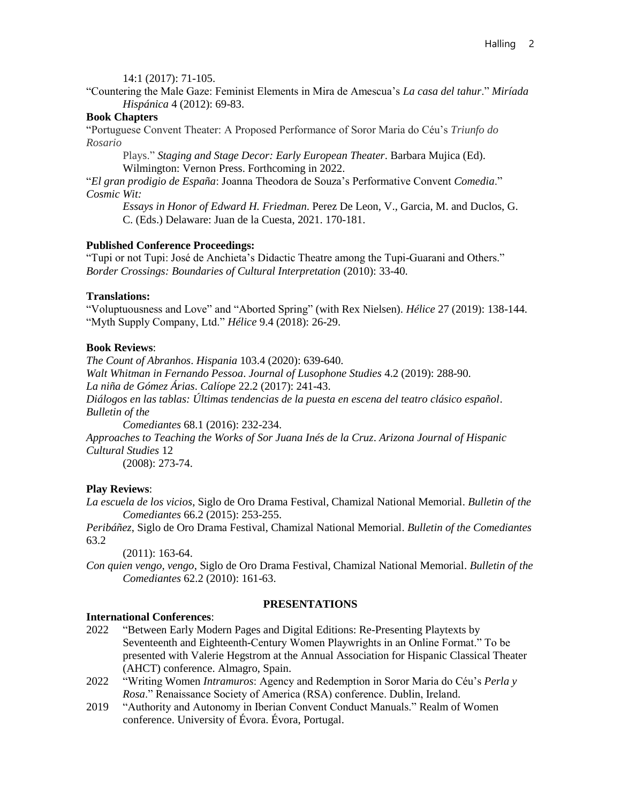14:1 (2017): 71-105.

"Countering the Male Gaze: Feminist Elements in Mira de Amescua's *La casa del tahur*." *Miríada Hispánica* 4 (2012): 69-83.

## **Book Chapters**

"Portuguese Convent Theater: A Proposed Performance of Soror Maria do Céu's *Triunfo do Rosario* 

Plays." *Staging and Stage Decor: Early European Theater*. Barbara Mujica (Ed). Wilmington: Vernon Press. Forthcoming in 2022.

"*El gran prodigio de España*: Joanna Theodora de Souza's Performative Convent *Comedia*." *Cosmic Wit:* 

*Essays in Honor of Edward H. Friedman*. Perez De Leon, V., Garcia, M. and Duclos, G. C. (Eds.) Delaware: Juan de la Cuesta, 2021. 170-181.

## **Published Conference Proceedings:**

"Tupi or not Tupi: José de Anchieta's Didactic Theatre among the Tupi-Guarani and Others." *Border Crossings: Boundaries of Cultural Interpretation* (2010): 33-40.

## **Translations:**

"Voluptuousness and Love" and "Aborted Spring" (with Rex Nielsen). *Hélice* 27 (2019): 138-144. "Myth Supply Company, Ltd." *Hélice* 9.4 (2018): 26-29.

## **Book Reviews**:

*The Count of Abranhos*. *Hispania* 103.4 (2020): 639-640. *Walt Whitman in Fernando Pessoa*. *Journal of Lusophone Studies* 4.2 (2019): 288-90. *La niña de Gómez Árias*. *Calíope* 22.2 (2017): 241-43. *Diálogos en las tablas: Últimas tendencias de la puesta en escena del teatro clásico español*. *Bulletin of the* 

*Comediantes* 68.1 (2016): 232-234.

*Approaches to Teaching the Works of Sor Juana Inés de la Cruz*. *Arizona Journal of Hispanic Cultural Studies* 12

(2008): 273-74.

## **Play Reviews**:

*La escuela de los vicios*, Siglo de Oro Drama Festival, Chamizal National Memorial. *Bulletin of the Comediantes* 66.2 (2015): 253-255.

*Peribáñez*, Siglo de Oro Drama Festival, Chamizal National Memorial. *Bulletin of the Comediantes*  63.2

(2011): 163-64.

*Con quien vengo, vengo*, Siglo de Oro Drama Festival, Chamizal National Memorial. *Bulletin of the Comediantes* 62.2 (2010): 161-63.

## **PRESENTATIONS**

## **International Conferences**:

- 2022 "Between Early Modern Pages and Digital Editions: Re-Presenting Playtexts by Seventeenth and Eighteenth-Century Women Playwrights in an Online Format." To be presented with Valerie Hegstrom at the Annual Association for Hispanic Classical Theater (AHCT) conference. Almagro, Spain.
- 2022 "Writing Women *Intramuros*: Agency and Redemption in Soror Maria do Céu's *Perla y Rosa*." Renaissance Society of America (RSA) conference. Dublin, Ireland.
- 2019 "Authority and Autonomy in Iberian Convent Conduct Manuals." Realm of Women conference. University of Évora. Évora, Portugal.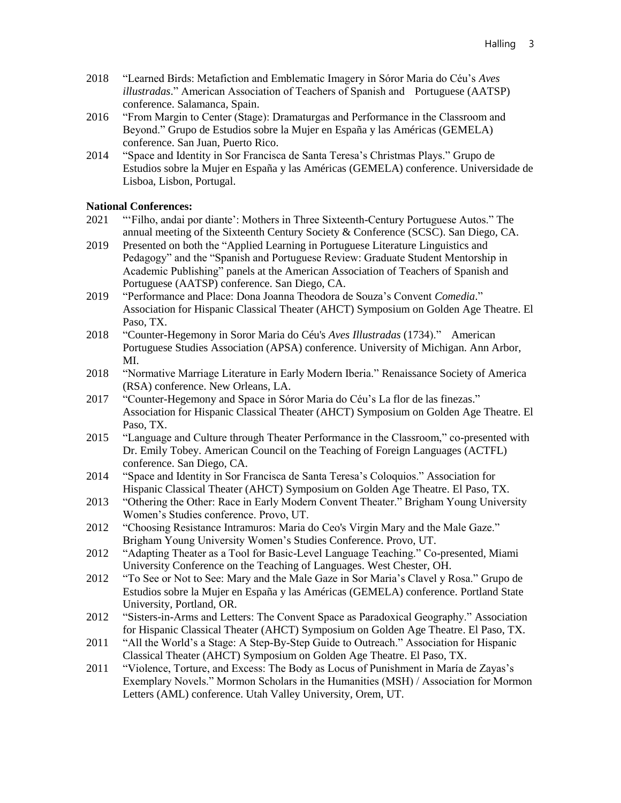- 2018 "Learned Birds: Metafiction and Emblematic Imagery in Sóror Maria do Céu's *Aves illustradas*." American Association of Teachers of Spanish and Portuguese (AATSP) conference. Salamanca, Spain.
- 2016 "From Margin to Center (Stage): Dramaturgas and Performance in the Classroom and Beyond." Grupo de Estudios sobre la Mujer en España y las Américas (GEMELA) conference. San Juan, Puerto Rico.
- 2014 "Space and Identity in Sor Francisca de Santa Teresa's Christmas Plays." Grupo de Estudios sobre la Mujer en España y las Américas (GEMELA) conference. Universidade de Lisboa, Lisbon, Portugal.

## **National Conferences:**

- 2021 "'Filho, andai por diante': Mothers in Three Sixteenth-Century Portuguese Autos." The annual meeting of the Sixteenth Century Society & Conference (SCSC). San Diego, CA.
- 2019 Presented on both the "Applied Learning in Portuguese Literature Linguistics and Pedagogy" and the "Spanish and Portuguese Review: Graduate Student Mentorship in Academic Publishing" panels at the American Association of Teachers of Spanish and Portuguese (AATSP) conference. San Diego, CA.
- 2019 "Performance and Place: Dona Joanna Theodora de Souza's Convent *Comedia*." Association for Hispanic Classical Theater (AHCT) Symposium on Golden Age Theatre. El Paso, TX.
- 2018 "Counter-Hegemony in Soror Maria do Céu's *Aves Illustradas* (1734)." American Portuguese Studies Association (APSA) conference. University of Michigan. Ann Arbor, MI.
- 2018 "Normative Marriage Literature in Early Modern Iberia." Renaissance Society of America (RSA) conference. New Orleans, LA.
- 2017 "Counter-Hegemony and Space in Sóror Maria do Céu's La flor de las finezas." Association for Hispanic Classical Theater (AHCT) Symposium on Golden Age Theatre. El Paso, TX.
- 2015 "Language and Culture through Theater Performance in the Classroom," co-presented with Dr. Emily Tobey. American Council on the Teaching of Foreign Languages (ACTFL) conference. San Diego, CA.
- 2014 "Space and Identity in Sor Francisca de Santa Teresa's Coloquios." Association for Hispanic Classical Theater (AHCT) Symposium on Golden Age Theatre. El Paso, TX.
- 2013 "Othering the Other: Race in Early Modern Convent Theater." Brigham Young University Women's Studies conference. Provo, UT.
- 2012 "Choosing Resistance Intramuros: Maria do Ceo's Virgin Mary and the Male Gaze." Brigham Young University Women's Studies Conference. Provo, UT.
- 2012 "Adapting Theater as a Tool for Basic-Level Language Teaching." Co-presented, Miami University Conference on the Teaching of Languages. West Chester, OH.
- 2012 "To See or Not to See: Mary and the Male Gaze in Sor Maria's Clavel y Rosa." Grupo de Estudios sobre la Mujer en España y las Américas (GEMELA) conference. Portland State University, Portland, OR.
- 2012 "Sisters-in-Arms and Letters: The Convent Space as Paradoxical Geography." Association for Hispanic Classical Theater (AHCT) Symposium on Golden Age Theatre. El Paso, TX.
- 2011 "All the World's a Stage: A Step-By-Step Guide to Outreach." Association for Hispanic Classical Theater (AHCT) Symposium on Golden Age Theatre. El Paso, TX.
- 2011 "Violence, Torture, and Excess: The Body as Locus of Punishment in María de Zayas's Exemplary Novels." Mormon Scholars in the Humanities (MSH) / Association for Mormon Letters (AML) conference. Utah Valley University, Orem, UT.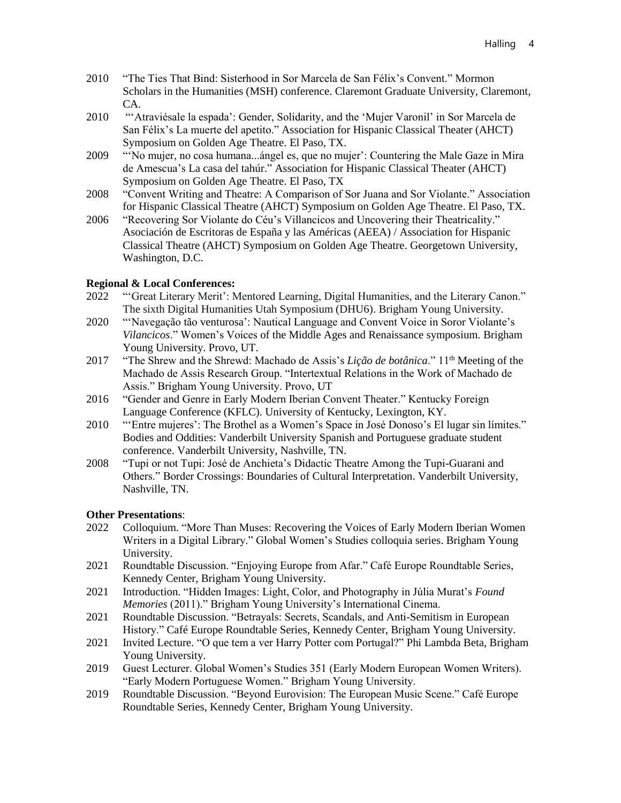- 2010 "The Ties That Bind: Sisterhood in Sor Marcela de San Félix's Convent." Mormon Scholars in the Humanities (MSH) conference. Claremont Graduate University, Claremont, CA.
- 2010 "'Atraviésale la espada': Gender, Solidarity, and the 'Mujer Varonil' in Sor Marcela de San Félix's La muerte del apetito." Association for Hispanic Classical Theater (AHCT) Symposium on Golden Age Theatre. El Paso, TX.
- 2009 "'No mujer, no cosa humana...ángel es, que no mujer': Countering the Male Gaze in Mira de Amescua's La casa del tahúr." Association for Hispanic Classical Theater (AHCT) Symposium on Golden Age Theatre. El Paso, TX
- 2008 "Convent Writing and Theatre: A Comparison of Sor Juana and Sor Violante." Association for Hispanic Classical Theatre (AHCT) Symposium on Golden Age Theatre. El Paso, TX.
- 2006 "Recovering Sor Violante do Céu's Villancicos and Uncovering their Theatricality." Asociación de Escritoras de España y las Américas (AEEA) / Association for Hispanic Classical Theatre (AHCT) Symposium on Golden Age Theatre. Georgetown University, Washington, D.C.

## **Regional & Local Conferences:**

- 2022 "'Great Literary Merit': Mentored Learning, Digital Humanities, and the Literary Canon." The sixth Digital Humanities Utah Symposium (DHU6). Brigham Young University.
- 2020 "'Navegação tão venturosa': Nautical Language and Convent Voice in Soror Violante's *Vilancicos*." Women's Voices of the Middle Ages and Renaissance symposium. Brigham Young University. Provo, UT.
- 2017 "The Shrew and the Shrewd: Machado de Assis's *Lição de botânica*." 11th Meeting of the Machado de Assis Research Group. "Intertextual Relations in the Work of Machado de Assis." Brigham Young University. Provo, UT
- 2016 "Gender and Genre in Early Modern Iberian Convent Theater." Kentucky Foreign Language Conference (KFLC). University of Kentucky, Lexington, KY.
- 2010 "'Entre mujeres': The Brothel as a Women's Space in José Donoso's El lugar sin límites." Bodies and Oddities: Vanderbilt University Spanish and Portuguese graduate student conference. Vanderbilt University, Nashville, TN.
- 2008 "Tupi or not Tupi: José de Anchieta's Didactic Theatre Among the Tupi-Guarani and Others." Border Crossings: Boundaries of Cultural Interpretation. Vanderbilt University, Nashville, TN.

#### **Other Presentations**:

- 2022 Colloquium. "More Than Muses: Recovering the Voices of Early Modern Iberian Women Writers in a Digital Library." Global Women's Studies colloquia series. Brigham Young University.
- 2021 Roundtable Discussion. "Enjoying Europe from Afar." Café Europe Roundtable Series, Kennedy Center, Brigham Young University.
- 2021 Introduction. "Hidden Images: Light, Color, and Photography in Júlia Murat's *Found Memories* (2011)." Brigham Young University's International Cinema.
- 2021 Roundtable Discussion. "Betrayals: Secrets, Scandals, and Anti-Semitism in European History." Café Europe Roundtable Series, Kennedy Center, Brigham Young University.
- 2021 Invited Lecture. "O que tem a ver Harry Potter com Portugal?" Phi Lambda Beta, Brigham Young University.
- 2019 Guest Lecturer. Global Women's Studies 351 (Early Modern European Women Writers). "Early Modern Portuguese Women." Brigham Young University.
- 2019 Roundtable Discussion. "Beyond Eurovision: The European Music Scene." Café Europe Roundtable Series, Kennedy Center, Brigham Young University.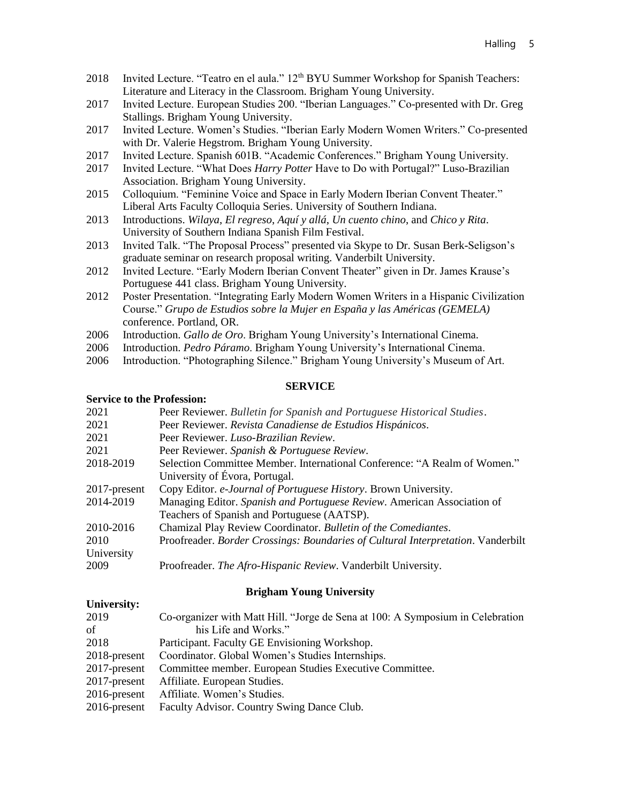- 2018 Invited Lecture. "Teatro en el aula." 12<sup>th</sup> BYU Summer Workshop for Spanish Teachers: Literature and Literacy in the Classroom. Brigham Young University.
- 2017 Invited Lecture. European Studies 200. "Iberian Languages." Co-presented with Dr. Greg Stallings. Brigham Young University.
- 2017 Invited Lecture. Women's Studies. "Iberian Early Modern Women Writers." Co-presented with Dr. Valerie Hegstrom. Brigham Young University.
- 2017 Invited Lecture. Spanish 601B. "Academic Conferences." Brigham Young University.
- 2017 Invited Lecture. "What Does *Harry Potter* Have to Do with Portugal?" Luso-Brazilian Association. Brigham Young University.
- 2015 Colloquium. "Feminine Voice and Space in Early Modern Iberian Convent Theater." Liberal Arts Faculty Colloquia Series. University of Southern Indiana.
- 2013 Introductions. *Wilaya*, *El regreso*, *Aquí y allá*, *Un cuento chino*, and *Chico y Rita*. University of Southern Indiana Spanish Film Festival.
- 2013 Invited Talk. "The Proposal Process" presented via Skype to Dr. Susan Berk-Seligson's graduate seminar on research proposal writing. Vanderbilt University.
- 2012 Invited Lecture. "Early Modern Iberian Convent Theater" given in Dr. James Krause's Portuguese 441 class. Brigham Young University.
- 2012 Poster Presentation. "Integrating Early Modern Women Writers in a Hispanic Civilization Course." *Grupo de Estudios sobre la Mujer en España y las Américas (GEMELA)*  conference. Portland, OR.
- 2006 Introduction. *Gallo de Oro*. Brigham Young University's International Cinema.
- 2006 Introduction. *Pedro Páramo*. Brigham Young University's International Cinema.
- 2006 Introduction. "Photographing Silence." Brigham Young University's Museum of Art.

#### **SERVICE**

#### **Service to the Profession:**

| 2021         | Peer Reviewer. Bulletin for Spanish and Portuguese Historical Studies.           |
|--------------|----------------------------------------------------------------------------------|
|              |                                                                                  |
| 2021         | Peer Reviewer. Revista Canadiense de Estudios Hispánicos.                        |
| 2021         | Peer Reviewer. Luso-Brazilian Review.                                            |
| 2021         | Peer Reviewer. Spanish & Portuguese Review.                                      |
| 2018-2019    | Selection Committee Member. International Conference: "A Realm of Women."        |
|              | University of Évora, Portugal.                                                   |
| 2017-present | Copy Editor. e-Journal of Portuguese History. Brown University.                  |
| 2014-2019    | Managing Editor. Spanish and Portuguese Review. American Association of          |
|              | Teachers of Spanish and Portuguese (AATSP).                                      |
| 2010-2016    | Chamizal Play Review Coordinator. Bulletin of the Comediantes.                   |
| 2010         | Proofreader. Border Crossings: Boundaries of Cultural Interpretation. Vanderbilt |
| University   |                                                                                  |
| 2009         | Proofreader. The Afro-Hispanic Review. Vanderbilt University.                    |

#### **Brigham Young University**

#### **University:**

| 2019            | Co-organizer with Matt Hill. "Jorge de Sena at 100: A Symposium in Celebration |
|-----------------|--------------------------------------------------------------------------------|
| of              | his Life and Works."                                                           |
| 2018            | Participant. Faculty GE Envisioning Workshop.                                  |
| 2018-present    | Coordinator. Global Women's Studies Internships.                               |
| 2017-present    | Committee member. European Studies Executive Committee.                        |
| $2017$ -present | Affiliate. European Studies.                                                   |
| 2016-present    | Affiliate. Women's Studies.                                                    |
| 2016-present    | Faculty Advisor. Country Swing Dance Club.                                     |
|                 |                                                                                |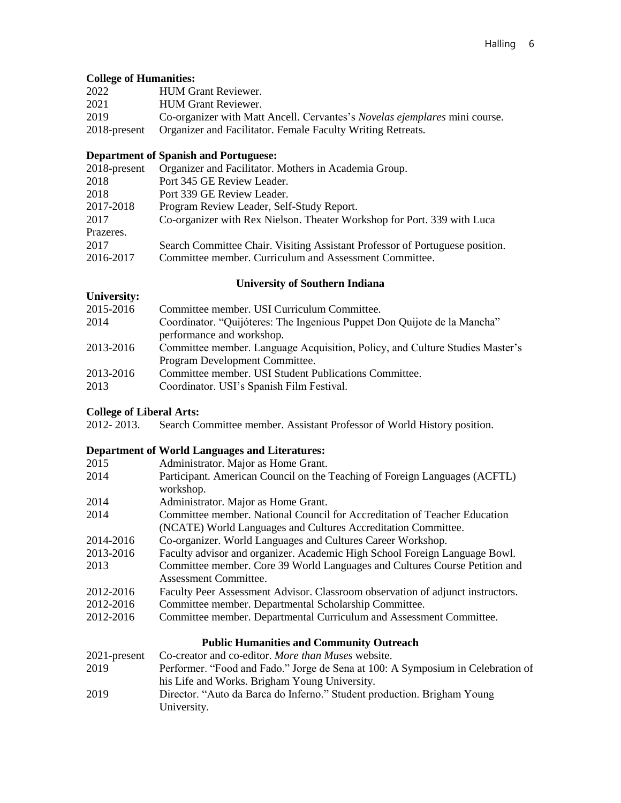## **College of Humanities:**

| 2022         | <b>HUM Grant Reviewer.</b>                                                        |
|--------------|-----------------------------------------------------------------------------------|
| 2021         | <b>HUM Grant Reviewer.</b>                                                        |
| 2019         | Co-organizer with Matt Ancell. Cervantes's <i>Novelas ejemplares</i> mini course. |
| 2018-present | Organizer and Facilitator. Female Faculty Writing Retreats.                       |

## **Department of Spanish and Portuguese:**

| 2018-present | Organizer and Facilitator. Mothers in Academia Group.                        |
|--------------|------------------------------------------------------------------------------|
| 2018         | Port 345 GE Review Leader.                                                   |
| 2018         | Port 339 GE Review Leader.                                                   |
| 2017-2018    | Program Review Leader, Self-Study Report.                                    |
| 2017         | Co-organizer with Rex Nielson. Theater Workshop for Port. 339 with Luca      |
| Prazeres.    |                                                                              |
| 2017         | Search Committee Chair. Visiting Assistant Professor of Portuguese position. |
| 2016-2017    | Committee member. Curriculum and Assessment Committee.                       |
|              |                                                                              |

## **University of Southern Indiana**

| Umversity of Bouthern Indiana |                                                                              |
|-------------------------------|------------------------------------------------------------------------------|
| University:                   |                                                                              |
| 2015-2016                     | Committee member. USI Curriculum Committee.                                  |
| 2014                          | Coordinator. "Quijóteres: The Ingenious Puppet Don Quijote de la Mancha"     |
|                               | performance and workshop.                                                    |
| 2013-2016                     | Committee member. Language Acquisition, Policy, and Culture Studies Master's |
|                               | Program Development Committee.                                               |
| 2013-2016                     | Committee member. USI Student Publications Committee.                        |
| 2013                          | Coordinator. USI's Spanish Film Festival.                                    |
|                               |                                                                              |

# **College of Liberal Arts:**<br>2012-2013. Search Co

Search Committee member. Assistant Professor of World History position.

## **Department of World Languages and Literatures:**

| 2015      | Administrator. Major as Home Grant.                                            |
|-----------|--------------------------------------------------------------------------------|
| 2014      | Participant. American Council on the Teaching of Foreign Languages (ACFTL)     |
|           | workshop.                                                                      |
| 2014      | Administrator. Major as Home Grant.                                            |
| 2014      | Committee member. National Council for Accreditation of Teacher Education      |
|           | (NCATE) World Languages and Cultures Accreditation Committee.                  |
| 2014-2016 | Co-organizer. World Languages and Cultures Career Workshop.                    |
| 2013-2016 | Faculty advisor and organizer. Academic High School Foreign Language Bowl.     |
| 2013      | Committee member. Core 39 World Languages and Cultures Course Petition and     |
|           | Assessment Committee.                                                          |
| 2012-2016 | Faculty Peer Assessment Advisor. Classroom observation of adjunct instructors. |
| 2012-2016 | Committee member. Departmental Scholarship Committee.                          |
| 2012-2016 | Committee member. Departmental Curriculum and Assessment Committee.            |
|           | <b>Public Humanities and Community Outreach</b>                                |
|           | $2021$ success $C_2$ exception and so editor $M_{\rm BH}$ $M_{\rm BH}$ .       |

|      | 2021-present Co-creator and co-editor. More than Muses website.                 |
|------|---------------------------------------------------------------------------------|
| 2019 | Performer. "Food and Fado." Jorge de Sena at 100: A Symposium in Celebration of |
|      | his Life and Works. Brigham Young University.                                   |
| 2019 | Director. "Auto da Barca do Inferno." Student production. Brigham Young         |
|      | University.                                                                     |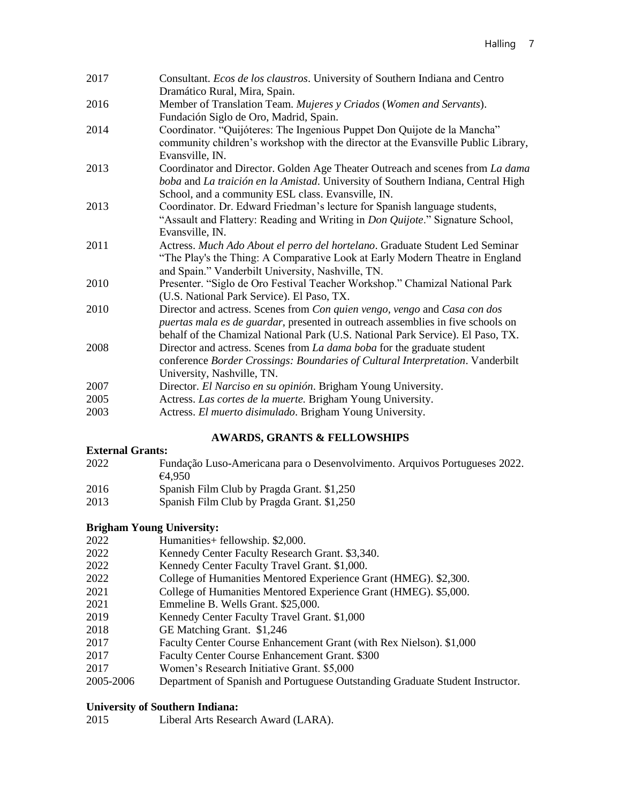| 2017 | Consultant. Ecos de los claustros. University of Southern Indiana and Centro      |
|------|-----------------------------------------------------------------------------------|
|      | Dramático Rural, Mira, Spain.                                                     |
| 2016 | Member of Translation Team. Mujeres y Criados (Women and Servants).               |
|      | Fundación Siglo de Oro, Madrid, Spain.                                            |
| 2014 | Coordinator. "Quijóteres: The Ingenious Puppet Don Quijote de la Mancha"          |
|      | community children's workshop with the director at the Evansville Public Library, |
|      | Evansville, IN.                                                                   |
| 2013 | Coordinator and Director. Golden Age Theater Outreach and scenes from La dama     |
|      | boba and La traición en la Amistad. University of Southern Indiana, Central High  |
|      | School, and a community ESL class. Evansville, IN.                                |
| 2013 | Coordinator. Dr. Edward Friedman's lecture for Spanish language students,         |
|      | "Assault and Flattery: Reading and Writing in Don Quijote." Signature School,     |
|      | Evansville, IN.                                                                   |
| 2011 | Actress. Much Ado About el perro del hortelano. Graduate Student Led Seminar      |
|      | "The Play's the Thing: A Comparative Look at Early Modern Theatre in England      |
|      | and Spain." Vanderbilt University, Nashville, TN.                                 |
| 2010 | Presenter. "Siglo de Oro Festival Teacher Workshop." Chamizal National Park       |
|      | (U.S. National Park Service). El Paso, TX.                                        |
| 2010 | Director and actress. Scenes from Con quien vengo, vengo and Casa con dos         |
|      | puertas mala es de guardar, presented in outreach assemblies in five schools on   |
|      | behalf of the Chamizal National Park (U.S. National Park Service). El Paso, TX.   |
| 2008 | Director and actress. Scenes from La dama boba for the graduate student           |
|      | conference Border Crossings: Boundaries of Cultural Interpretation. Vanderbilt    |
|      | University, Nashville, TN.                                                        |
| 2007 | Director. El Narciso en su opinión. Brigham Young University.                     |
| 2005 | Actress. Las cortes de la muerte. Brigham Young University.                       |
| 2003 | Actress. El muerto disimulado. Brigham Young University.                          |

## **AWARDS, GRANTS & FELLOWSHIPS**

## **External Grants:**

- 2022 Fundação Luso-Americana para o Desenvolvimento. Arquivos Portugueses 2022. €4,950
- 2016 Spanish Film Club by Pragda Grant. \$1,250
- 2013 Spanish Film Club by Pragda Grant. \$1,250

## **Brigham Young University:**

- 2022 Humanities+ fellowship. \$2,000.
- 2022 Kennedy Center Faculty Research Grant. \$3,340.
- 2022 Kennedy Center Faculty Travel Grant. \$1,000.
- 2022 College of Humanities Mentored Experience Grant (HMEG). \$2,300.
- 2021 College of Humanities Mentored Experience Grant (HMEG). \$5,000.
- 2021 Emmeline B. Wells Grant. \$25,000.
- 2019 Kennedy Center Faculty Travel Grant. \$1,000<br>2018 GE Matching Grant. \$1,246
- GE Matching Grant. \$1,246
- 2017 Faculty Center Course Enhancement Grant (with Rex Nielson). \$1,000
- 2017 Faculty Center Course Enhancement Grant. \$300
- 2017 Women's Research Initiative Grant. \$5,000
- 2005-2006 Department of Spanish and Portuguese Outstanding Graduate Student Instructor.

## **University of Southern Indiana:**

2015 Liberal Arts Research Award (LARA).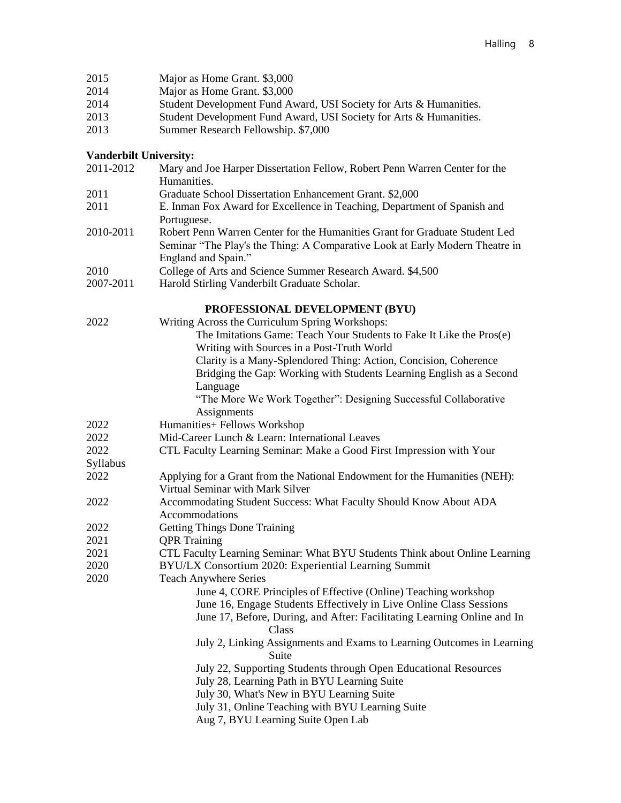| 2015<br>2014                  | Major as Home Grant. \$3,000<br>Major as Home Grant. \$3,000                                                                                                                       |
|-------------------------------|------------------------------------------------------------------------------------------------------------------------------------------------------------------------------------|
| 2014                          | Student Development Fund Award, USI Society for Arts & Humanities.                                                                                                                 |
| 2013                          | Student Development Fund Award, USI Society for Arts & Humanities.                                                                                                                 |
| 2013                          | Summer Research Fellowship. \$7,000                                                                                                                                                |
| <b>Vanderbilt University:</b> |                                                                                                                                                                                    |
| 2011-2012                     | Mary and Joe Harper Dissertation Fellow, Robert Penn Warren Center for the<br>Humanities.                                                                                          |
| 2011                          | Graduate School Dissertation Enhancement Grant. \$2,000                                                                                                                            |
| 2011                          | E. Inman Fox Award for Excellence in Teaching, Department of Spanish and<br>Portuguese.                                                                                            |
| 2010-2011                     | Robert Penn Warren Center for the Humanities Grant for Graduate Student Led<br>Seminar "The Play's the Thing: A Comparative Look at Early Modern Theatre in<br>England and Spain." |
| 2010                          | College of Arts and Science Summer Research Award. \$4,500                                                                                                                         |
| 2007-2011                     | Harold Stirling Vanderbilt Graduate Scholar.                                                                                                                                       |
|                               | PROFESSIONAL DEVELOPMENT (BYU)                                                                                                                                                     |
| 2022                          | Writing Across the Curriculum Spring Workshops:                                                                                                                                    |
|                               | The Imitations Game: Teach Your Students to Fake It Like the Pros(e)<br>Writing with Sources in a Post-Truth World                                                                 |
|                               | Clarity is a Many-Splendored Thing: Action, Concision, Coherence                                                                                                                   |
|                               | Bridging the Gap: Working with Students Learning English as a Second                                                                                                               |
|                               | Language                                                                                                                                                                           |
|                               | "The More We Work Together": Designing Successful Collaborative<br>Assignments                                                                                                     |
| 2022                          | Humanities+ Fellows Workshop                                                                                                                                                       |
| 2022                          | Mid-Career Lunch & Learn: International Leaves                                                                                                                                     |
| 2022                          | CTL Faculty Learning Seminar: Make a Good First Impression with Your                                                                                                               |
| Syllabus                      |                                                                                                                                                                                    |
| 2022                          | Applying for a Grant from the National Endowment for the Humanities (NEH):<br>Virtual Seminar with Mark Silver                                                                     |
| 2022                          | Accommodating Student Success: What Faculty Should Know About ADA<br>Accommodations                                                                                                |
| 2022                          | <b>Getting Things Done Training</b>                                                                                                                                                |
| 2021                          | <b>QPR</b> Training                                                                                                                                                                |
| 2021                          | CTL Faculty Learning Seminar: What BYU Students Think about Online Learning                                                                                                        |
| 2020                          | BYU/LX Consortium 2020: Experiential Learning Summit                                                                                                                               |
| 2020                          | <b>Teach Anywhere Series</b>                                                                                                                                                       |
|                               | June 4, CORE Principles of Effective (Online) Teaching workshop                                                                                                                    |
|                               | June 16, Engage Students Effectively in Live Online Class Sessions                                                                                                                 |
|                               | June 17, Before, During, and After: Facilitating Learning Online and In<br>Class                                                                                                   |
|                               | July 2, Linking Assignments and Exams to Learning Outcomes in Learning<br>Suite                                                                                                    |
|                               | July 22, Supporting Students through Open Educational Resources                                                                                                                    |
|                               | July 28, Learning Path in BYU Learning Suite                                                                                                                                       |
|                               | July 30, What's New in BYU Learning Suite                                                                                                                                          |
|                               | July 31, Online Teaching with BYU Learning Suite                                                                                                                                   |
|                               | Aug 7, BYU Learning Suite Open Lab                                                                                                                                                 |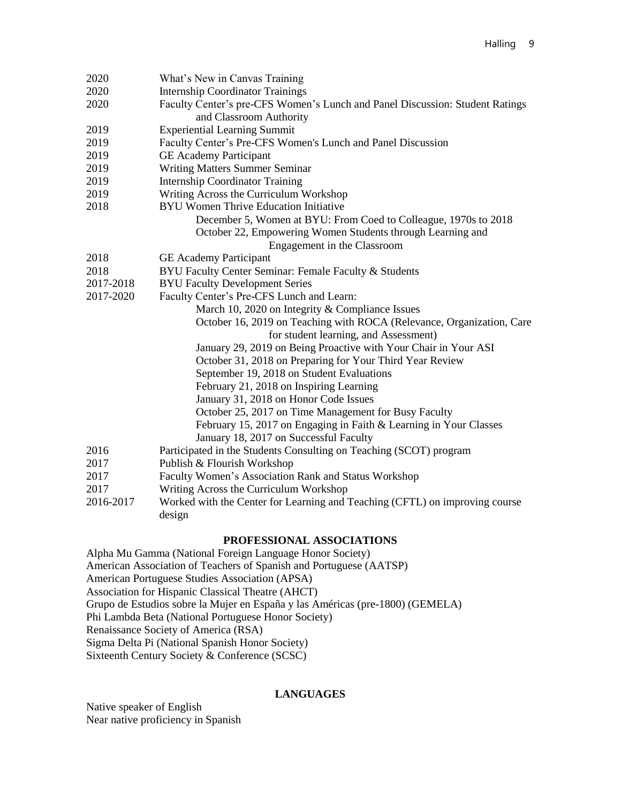| 2020      | What's New in Canvas Training                                                |
|-----------|------------------------------------------------------------------------------|
| 2020      | <b>Internship Coordinator Trainings</b>                                      |
| 2020      | Faculty Center's pre-CFS Women's Lunch and Panel Discussion: Student Ratings |
|           | and Classroom Authority                                                      |
| 2019      | <b>Experiential Learning Summit</b>                                          |
| 2019      | Faculty Center's Pre-CFS Women's Lunch and Panel Discussion                  |
| 2019      | <b>GE</b> Academy Participant                                                |
| 2019      | <b>Writing Matters Summer Seminar</b>                                        |
| 2019      | <b>Internship Coordinator Training</b>                                       |
| 2019      | Writing Across the Curriculum Workshop                                       |
| 2018      | <b>BYU Women Thrive Education Initiative</b>                                 |
|           | December 5, Women at BYU: From Coed to Colleague, 1970s to 2018              |
|           | October 22, Empowering Women Students through Learning and                   |
|           | Engagement in the Classroom                                                  |
| 2018      | <b>GE</b> Academy Participant                                                |
| 2018      | BYU Faculty Center Seminar: Female Faculty & Students                        |
| 2017-2018 | <b>BYU Faculty Development Series</b>                                        |
| 2017-2020 | Faculty Center's Pre-CFS Lunch and Learn:                                    |
|           | March 10, 2020 on Integrity & Compliance Issues                              |
|           | October 16, 2019 on Teaching with ROCA (Relevance, Organization, Care        |
|           | for student learning, and Assessment)                                        |
|           | January 29, 2019 on Being Proactive with Your Chair in Your ASI              |
|           | October 31, 2018 on Preparing for Your Third Year Review                     |
|           | September 19, 2018 on Student Evaluations                                    |
|           | February 21, 2018 on Inspiring Learning                                      |
|           | January 31, 2018 on Honor Code Issues                                        |
|           | October 25, 2017 on Time Management for Busy Faculty                         |
|           | February 15, 2017 on Engaging in Faith & Learning in Your Classes            |
|           | January 18, 2017 on Successful Faculty                                       |
| 2016      | Participated in the Students Consulting on Teaching (SCOT) program           |
| 2017      | Publish & Flourish Workshop                                                  |
| 2017      | Faculty Women's Association Rank and Status Workshop                         |
| 2017      | Writing Across the Curriculum Workshop                                       |
| 2016-2017 | Worked with the Center for Learning and Teaching (CFTL) on improving course  |
|           | design                                                                       |

#### **PROFESSIONAL ASSOCIATIONS**

Alpha Mu Gamma (National Foreign Language Honor Society) American Association of Teachers of Spanish and Portuguese (AATSP) American Portuguese Studies Association (APSA) Association for Hispanic Classical Theatre (AHCT) Grupo de Estudios sobre la Mujer en España y las Américas (pre-1800) (GEMELA) Phi Lambda Beta (National Portuguese Honor Society) Renaissance Society of America (RSA) Sigma Delta Pi (National Spanish Honor Society) Sixteenth Century Society & Conference (SCSC)

## **LANGUAGES**

Native speaker of English Near native proficiency in Spanish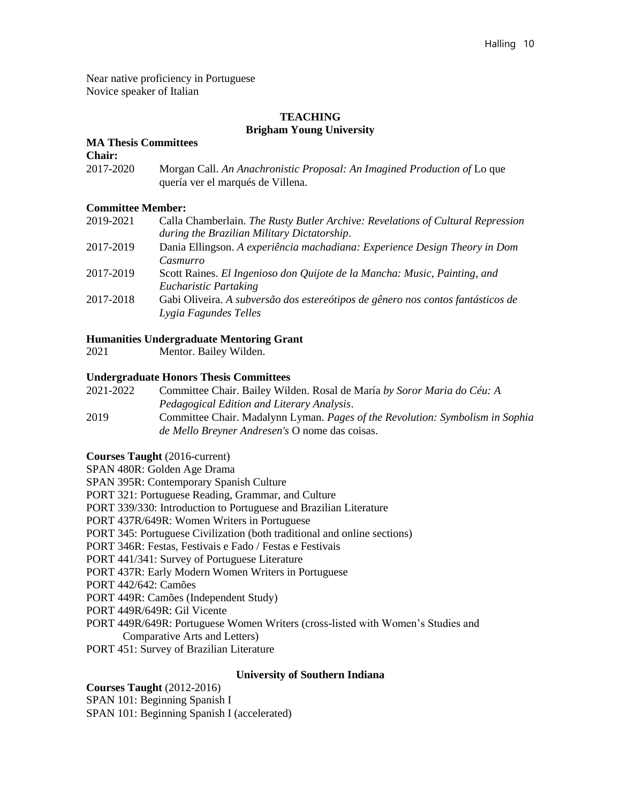Near native proficiency in Portuguese Novice speaker of Italian

## **TEACHING Brigham Young University**

#### **MA Thesis Committees**

**Chair:** 

2017-2020 Morgan Call. *An Anachronistic Proposal: An Imagined Production of* Lo que quería ver el marqués de Villena.

## **Committee Member:**

| 2019-2021 | Calla Chamberlain. The Rusty Butler Archive: Revelations of Cultural Repression |
|-----------|---------------------------------------------------------------------------------|
|           | during the Brazilian Military Dictatorship.                                     |
| 2017-2019 | Dania Ellingson. A experiência machadiana: Experience Design Theory in Dom      |
|           | Casmurro                                                                        |
| 2017-2019 | Scott Raines. El Ingenioso don Quijote de la Mancha: Music, Painting, and       |
|           | Eucharistic Partaking                                                           |
| 2017-2018 | Gabi Oliveira. A subversão dos estereótipos de gênero nos contos fantásticos de |
|           | Lygia Fagundes Telles                                                           |

## **Humanities Undergraduate Mentoring Grant**

2021 Mentor. Bailey Wilden.

## **Undergraduate Honors Thesis Committees**

| 2021-2022                                 | Committee Chair. Bailey Wilden. Rosal de María by Soror Maria do Céu: A |
|-------------------------------------------|-------------------------------------------------------------------------|
|                                           | Pedagogical Edition and Literary Analysis.                              |
| $\bullet \bullet \bullet \bullet \bullet$ |                                                                         |

2019 Committee Chair. Madalynn Lyman. *Pages of the Revolution: Symbolism in Sophia de Mello Breyner Andresen's* O nome das coisas.

## **Courses Taught** (2016-current)

SPAN 480R: Golden Age Drama

SPAN 395R: Contemporary Spanish Culture

PORT 321: Portuguese Reading, Grammar, and Culture

PORT 339/330: Introduction to Portuguese and Brazilian Literature

PORT 437R/649R: Women Writers in Portuguese

PORT 345: Portuguese Civilization (both traditional and online sections)

PORT 346R: Festas, Festivais e Fado / Festas e Festivais

PORT 441/341: Survey of Portuguese Literature

PORT 437R: Early Modern Women Writers in Portuguese

PORT 442/642: Camões

PORT 449R: Camões (Independent Study)

PORT 449R/649R: Gil Vicente

PORT 449R/649R: Portuguese Women Writers (cross-listed with Women's Studies and

Comparative Arts and Letters)

PORT 451: Survey of Brazilian Literature

## **University of Southern Indiana**

**Courses Taught** (2012-2016) SPAN 101: Beginning Spanish I SPAN 101: Beginning Spanish I (accelerated)